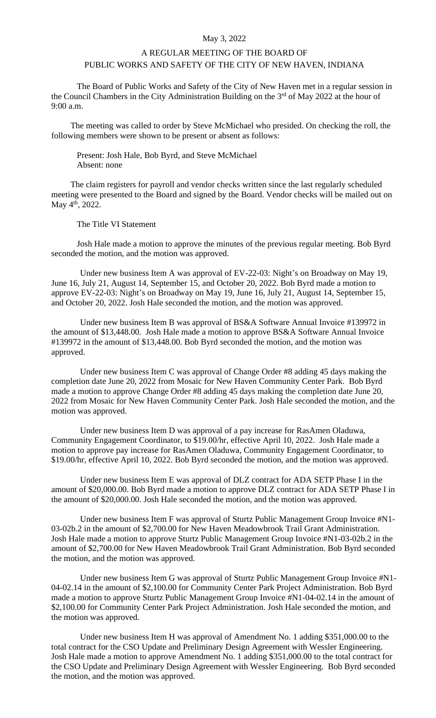## May 3, 2022

## A REGULAR MEETING OF THE BOARD OF PUBLIC WORKS AND SAFETY OF THE CITY OF NEW HAVEN, INDIANA

The Board of Public Works and Safety of the City of New Haven met in a regular session in the Council Chambers in the City Administration Building on the 3<sup>rd</sup> of May 2022 at the hour of 9:00 a.m.

The meeting was called to order by Steve McMichael who presided. On checking the roll, the following members were shown to be present or absent as follows:

Present: Josh Hale, Bob Byrd, and Steve McMichael Absent: none

The claim registers for payroll and vendor checks written since the last regularly scheduled meeting were presented to the Board and signed by the Board. Vendor checks will be mailed out on May 4<sup>th</sup>, 2022.

The Title VI Statement

Josh Hale made a motion to approve the minutes of the previous regular meeting. Bob Byrd seconded the motion, and the motion was approved.

Under new business Item A was approval of EV-22-03: Night's on Broadway on May 19, June 16, July 21, August 14, September 15, and October 20, 2022. Bob Byrd made a motion to approve EV-22-03: Night's on Broadway on May 19, June 16, July 21, August 14, September 15, and October 20, 2022. Josh Hale seconded the motion, and the motion was approved.

Under new business Item B was approval of BS&A Software Annual Invoice #139972 in the amount of \$13,448.00. Josh Hale made a motion to approve BS&A Software Annual Invoice #139972 in the amount of \$13,448.00. Bob Byrd seconded the motion, and the motion was approved.

Under new business Item C was approval of Change Order #8 adding 45 days making the completion date June 20, 2022 from Mosaic for New Haven Community Center Park. Bob Byrd made a motion to approve Change Order #8 adding 45 days making the completion date June 20, 2022 from Mosaic for New Haven Community Center Park. Josh Hale seconded the motion, and the motion was approved.

Under new business Item D was approval of a pay increase for RasAmen Oladuwa, Community Engagement Coordinator, to \$19.00/hr, effective April 10, 2022. Josh Hale made a motion to approve pay increase for RasAmen Oladuwa, Community Engagement Coordinator, to \$19.00/hr, effective April 10, 2022. Bob Byrd seconded the motion, and the motion was approved.

Under new business Item E was approval of DLZ contract for ADA SETP Phase I in the amount of \$20,000.00. Bob Byrd made a motion to approve DLZ contract for ADA SETP Phase I in the amount of \$20,000.00. Josh Hale seconded the motion, and the motion was approved.

Under new business Item F was approval of Sturtz Public Management Group Invoice #N1- 03-02b.2 in the amount of \$2,700.00 for New Haven Meadowbrook Trail Grant Administration. Josh Hale made a motion to approve Sturtz Public Management Group Invoice #N1-03-02b.2 in the amount of \$2,700.00 for New Haven Meadowbrook Trail Grant Administration. Bob Byrd seconded the motion, and the motion was approved.

Under new business Item G was approval of Sturtz Public Management Group Invoice #N1- 04-02.14 in the amount of \$2,100.00 for Community Center Park Project Administration. Bob Byrd made a motion to approve Sturtz Public Management Group Invoice #N1-04-02.14 in the amount of \$2,100.00 for Community Center Park Project Administration. Josh Hale seconded the motion, and the motion was approved.

Under new business Item H was approval of Amendment No. 1 adding \$351,000.00 to the total contract for the CSO Update and Preliminary Design Agreement with Wessler Engineering. Josh Hale made a motion to approve Amendment No. 1 adding \$351,000.00 to the total contract for the CSO Update and Preliminary Design Agreement with Wessler Engineering. Bob Byrd seconded the motion, and the motion was approved.